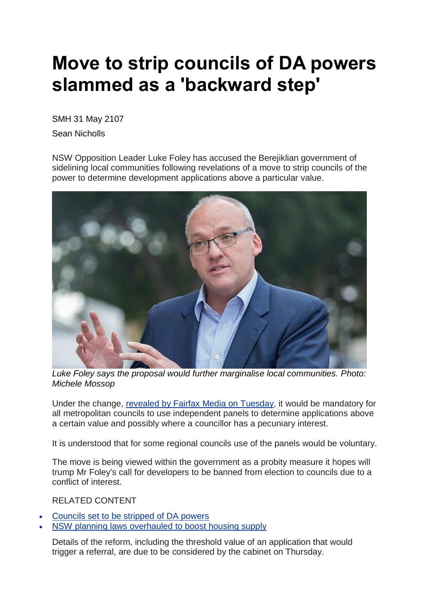## **Move to strip councils of DA powers slammed as a 'backward step'**

SMH 31 May 2107

Sean Nicholls

NSW Opposition Leader Luke Foley has accused the Berejiklian government of sidelining local communities following revelations of a move to strip councils of the power to determine development applications above a particular value.



*Luke Foley says the proposal would further marginalise local communities. Photo: Michele Mossop*

Under the change, revealed by Fairfax Media on [Tuesday,](http://www.smh.com.au/nsw/councils-set-to-be-stripped-of-da-powers-20170529-gwfpor.html) it would be mandatory for all metropolitan councils to use independent panels to determine applications above a certain value and possibly where a councillor has a pecuniary interest.

It is understood that for some regional councils use of the panels would be voluntary.

The move is being viewed within the government as a probity measure it hopes will trump Mr Foley's call for developers to be banned from election to councils due to a conflict of interest.

RELATED CONTENT

- [Councils](http://www.smh.com.au/nsw/councils-set-to-be-stripped-of-da-powers-20170529-gwfpor.html) set to be stripped of DA powers
- NSW planning laws [overhauled](http://www.smh.com.au/nsw/nsw-planning-laws-overhauled-to-boost-housing-supply-20170108-gtnpmf.html) to boost housing supply

Details of the reform, including the threshold value of an application that would trigger a referral, are due to be considered by the cabinet on Thursday.